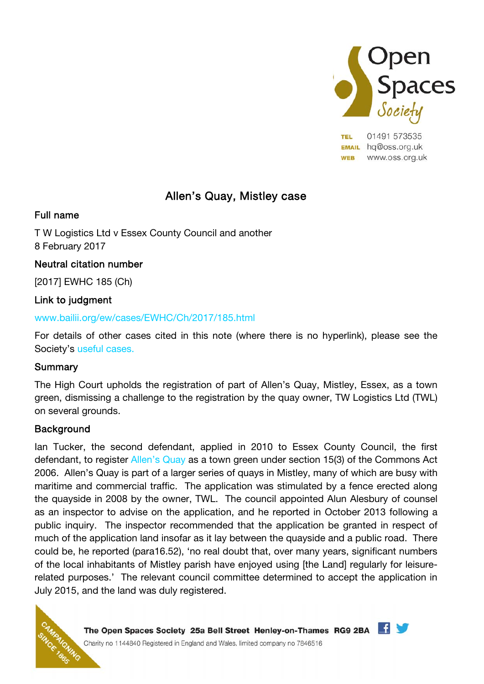

**TEL** 01491 573535 **EMAIL** hq@oss.org.uk **WEB** www.oss.org.uk

# Allen's Quay, Mistley case

## Full name

T W Logistics Ltd v Essex County Council and another 8 February 2017

## Neutral citation number

[2017] EWHC 185 (Ch)

## Link to judgment

### www.bailii.org/ew/cases/EWHC/Ch/2017/185.html

For details of other cases cited in this note (where there is no hyperlink), please see the Society's useful cases.

## Summary

The High Court upholds the registration of part of Allen's Quay, Mistley, Essex, as a town green, dismissing a challenge to the registration by the quay owner, TW Logistics Ltd (TWL) on several grounds.

## **Background**

Ian Tucker, the second defendant, applied in 2010 to Essex County Council, the first defendant, to register Allen's Quay as a town green under section 15(3) of the Commons Act 2006. Allen's Quay is part of a larger series of quays in Mistley, many of which are busy with maritime and commercial traffic. The application was stimulated by a fence erected along the quayside in 2008 by the owner, TWL. The council appointed Alun Alesbury of counsel as an inspector to advise on the application, and he reported in October 2013 following a public inquiry. The inspector recommended that the application be granted in respect of much of the application land insofar as it lay between the quayside and a public road. There could be, he reported (para16.52), 'no real doubt that, over many years, significant numbers of the local inhabitants of Mistley parish have enjoyed using [the Land] regularly for leisurerelated purposes.' The relevant council committee determined to accept the application in July 2015, and the land was duly registered.



The Open Spaces Society 25a Bell Street Henley-on-Thames RG9 2BA Charity no 1144840 Registered in England and Wales, limited company no 7846516

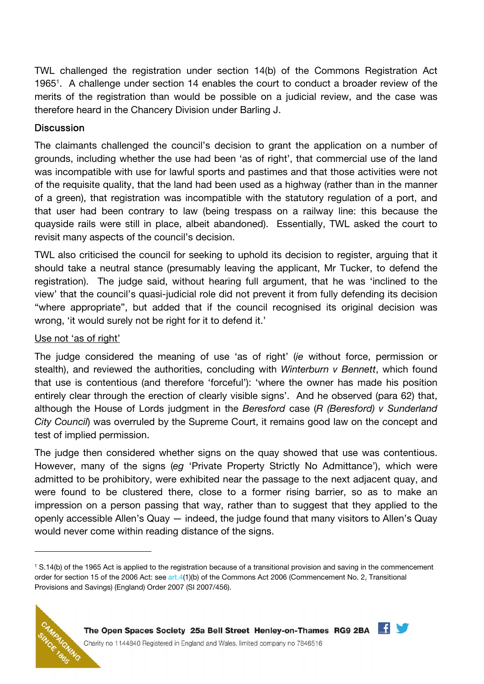TWL challenged the registration under section 14(b) of the Commons Registration Act 1965<sup>1</sup>. A challenge under section 14 enables the court to conduct a broader review of the merits of the registration than would be possible on a judicial review, and the case was therefore heard in the Chancery Division under Barling J.

## **Discussion**

The claimants challenged the council's decision to grant the application on a number of grounds, including whether the use had been 'as of right', that commercial use of the land was incompatible with use for lawful sports and pastimes and that those activities were not of the requisite quality, that the land had been used as a highway (rather than in the manner of a green), that registration was incompatible with the statutory regulation of a port, and that user had been contrary to law (being trespass on a railway line: this because the quayside rails were still in place, albeit abandoned). Essentially, TWL asked the court to revisit many aspects of the council's decision.

TWL also criticised the council for seeking to uphold its decision to register, arguing that it should take a neutral stance (presumably leaving the applicant, Mr Tucker, to defend the registration). The judge said, without hearing full argument, that he was 'inclined to the view' that the council's quasi-judicial role did not prevent it from fully defending its decision "where appropriate", but added that if the council recognised its original decision was wrong, 'it would surely not be right for it to defend it.'

#### Use not 'as of right'

The judge considered the meaning of use 'as of right' (ie without force, permission or stealth), and reviewed the authorities, concluding with *Winterburn v Bennett*, which found that use is contentious (and therefore 'forceful'): 'where the owner has made his position entirely clear through the erection of clearly visible signs'. And he observed (para 62) that, although the House of Lords judgment in the Beresford case (R (Beresford) v Sunderland City Council) was overruled by the Supreme Court, it remains good law on the concept and test of implied permission.

The judge then considered whether signs on the quay showed that use was contentious. However, many of the signs (eg 'Private Property Strictly No Admittance'), which were admitted to be prohibitory, were exhibited near the passage to the next adjacent quay, and were found to be clustered there, close to a former rising barrier, so as to make an impression on a person passing that way, rather than to suggest that they applied to the openly accessible Allen's Quay — indeed, the judge found that many visitors to Allen's Quay would never come within reading distance of the signs.

<sup>1</sup> S.14(b) of the 1965 Act is applied to the registration because of a transitional provision and saving in the commencement order for section 15 of the 2006 Act: see art.4(1)(b) of the Commons Act 2006 (Commencement No. 2, Transitional Provisions and Savings) (England) Order 2007 (SI 2007/456).





Charity no 1144840 Registered in England and Wales, limited company no 7846516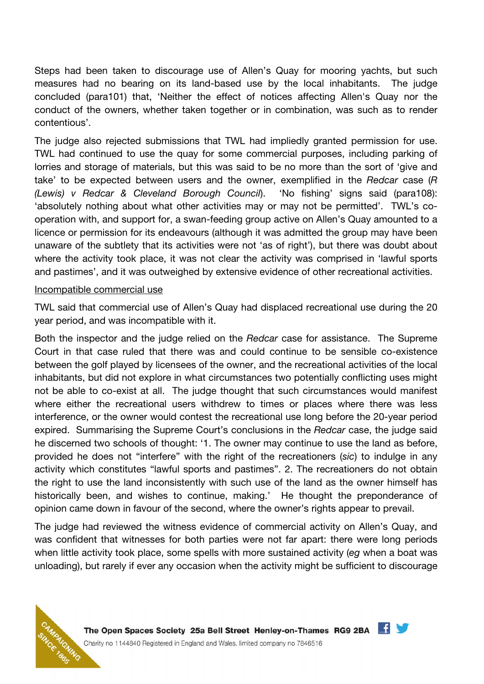Steps had been taken to discourage use of Allen's Quay for mooring yachts, but such measures had no bearing on its land-based use by the local inhabitants. The judge concluded (para101) that, 'Neither the effect of notices affecting Allen's Quay nor the conduct of the owners, whether taken together or in combination, was such as to render contentious'.

The judge also rejected submissions that TWL had impliedly granted permission for use. TWL had continued to use the quay for some commercial purposes, including parking of lorries and storage of materials, but this was said to be no more than the sort of 'give and take' to be expected between users and the owner, exemplified in the Redcar case (R (Lewis) v Redcar & Cleveland Borough Council). 'No fishing' signs said (para108): 'absolutely nothing about what other activities may or may not be permitted'. TWL's cooperation with, and support for, a swan-feeding group active on Allen's Quay amounted to a licence or permission for its endeavours (although it was admitted the group may have been unaware of the subtlety that its activities were not 'as of right'), but there was doubt about where the activity took place, it was not clear the activity was comprised in 'lawful sports and pastimes', and it was outweighed by extensive evidence of other recreational activities.

#### Incompatible commercial use

TWL said that commercial use of Allen's Quay had displaced recreational use during the 20 year period, and was incompatible with it.

Both the inspector and the judge relied on the Redcar case for assistance. The Supreme Court in that case ruled that there was and could continue to be sensible co-existence between the golf played by licensees of the owner, and the recreational activities of the local inhabitants, but did not explore in what circumstances two potentially conflicting uses might not be able to co-exist at all. The judge thought that such circumstances would manifest where either the recreational users withdrew to times or places where there was less interference, or the owner would contest the recreational use long before the 20-year period expired. Summarising the Supreme Court's conclusions in the Redcar case, the judge said he discerned two schools of thought: '1. The owner may continue to use the land as before, provided he does not "interfere" with the right of the recreationers (sic) to indulge in any activity which constitutes "lawful sports and pastimes". 2. The recreationers do not obtain the right to use the land inconsistently with such use of the land as the owner himself has historically been, and wishes to continue, making.' He thought the preponderance of opinion came down in favour of the second, where the owner's rights appear to prevail.

The judge had reviewed the witness evidence of commercial activity on Allen's Quay, and was confident that witnesses for both parties were not far apart: there were long periods when little activity took place, some spells with more sustained activity (eg when a boat was unloading), but rarely if ever any occasion when the activity might be sufficient to discourage



The Open Spaces Society 25a Bell Street Henley-on-Thames RG9 2BA Charity no 1144840 Registered in England and Wales, limited company no 7846516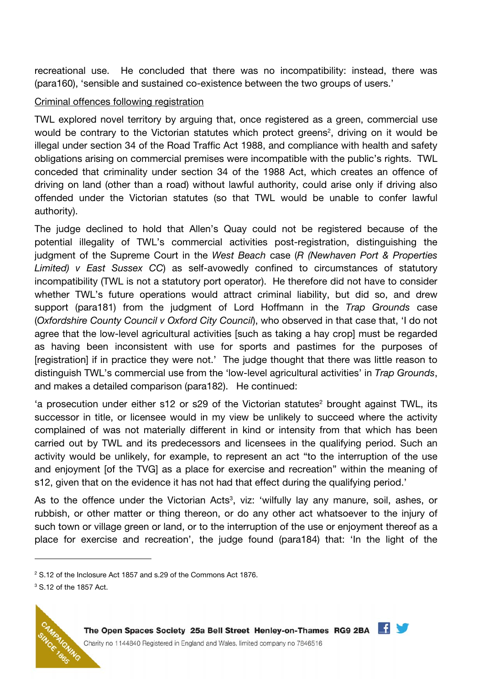recreational use. He concluded that there was no incompatibility: instead, there was (para160), 'sensible and sustained co-existence between the two groups of users.'

#### Criminal offences following registration

TWL explored novel territory by arguing that, once registered as a green, commercial use would be contrary to the Victorian statutes which protect greens<sup>2</sup>, driving on it would be illegal under section 34 of the Road Traffic Act 1988, and compliance with health and safety obligations arising on commercial premises were incompatible with the public's rights. TWL conceded that criminality under section 34 of the 1988 Act, which creates an offence of driving on land (other than a road) without lawful authority, could arise only if driving also offended under the Victorian statutes (so that TWL would be unable to confer lawful authority).

The judge declined to hold that Allen's Quay could not be registered because of the potential illegality of TWL's commercial activities post-registration, distinguishing the judgment of the Supreme Court in the West Beach case (R (Newhaven Port & Properties Limited) v East Sussex CC) as self-avowedly confined to circumstances of statutory incompatibility (TWL is not a statutory port operator). He therefore did not have to consider whether TWL's future operations would attract criminal liability, but did so, and drew support (para181) from the judgment of Lord Hoffmann in the Trap Grounds case (Oxfordshire County Council v Oxford City Council), who observed in that case that, 'I do not agree that the low-level agricultural activities [such as taking a hay crop] must be regarded as having been inconsistent with use for sports and pastimes for the purposes of [registration] if in practice they were not.' The judge thought that there was little reason to distinguish TWL's commercial use from the 'low-level agricultural activities' in Trap Grounds, and makes a detailed comparison (para182). He continued:

'a prosecution under either s12 or s29 of the Victorian statutes<sup>2</sup> brought against TWL, its successor in title, or licensee would in my view be unlikely to succeed where the activity complained of was not materially different in kind or intensity from that which has been carried out by TWL and its predecessors and licensees in the qualifying period. Such an activity would be unlikely, for example, to represent an act "to the interruption of the use and enjoyment [of the TVG] as a place for exercise and recreation" within the meaning of s12, given that on the evidence it has not had that effect during the qualifying period.'

As to the offence under the Victorian Acts<sup>3</sup>, viz: 'wilfully lay any manure, soil, ashes, or rubbish, or other matter or thing thereon, or do any other act whatsoever to the injury of such town or village green or land, or to the interruption of the use or enjoyment thereof as a place for exercise and recreation', the judge found (para184) that: 'In the light of the



<sup>&</sup>lt;sup>2</sup> S.12 of the Inclosure Act 1857 and s.29 of the Commons Act 1876.

<sup>3</sup> S.12 of the 1857 Act.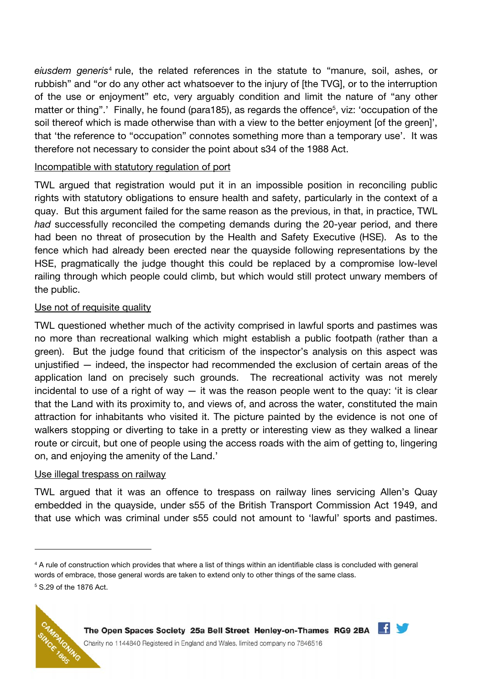eiusdem generis<sup>4</sup> rule, the related references in the statute to "manure, soil, ashes, or rubbish" and "or do any other act whatsoever to the injury of [the TVG], or to the interruption of the use or enjoyment" etc, very arguably condition and limit the nature of "any other matter or thing".' Finally, he found (para185), as regards the offence<sup>5</sup>, viz: 'occupation of the soil thereof which is made otherwise than with a view to the better enjoyment [of the green]', that 'the reference to "occupation" connotes something more than a temporary use'. It was therefore not necessary to consider the point about s34 of the 1988 Act.

## Incompatible with statutory regulation of port

TWL argued that registration would put it in an impossible position in reconciling public rights with statutory obligations to ensure health and safety, particularly in the context of a quay. But this argument failed for the same reason as the previous, in that, in practice, TWL had successfully reconciled the competing demands during the 20-year period, and there had been no threat of prosecution by the Health and Safety Executive (HSE). As to the fence which had already been erected near the quayside following representations by the HSE, pragmatically the judge thought this could be replaced by a compromise low-level railing through which people could climb, but which would still protect unwary members of the public.

### Use not of requisite quality

TWL questioned whether much of the activity comprised in lawful sports and pastimes was no more than recreational walking which might establish a public footpath (rather than a green). But the judge found that criticism of the inspector's analysis on this aspect was unjustified — indeed, the inspector had recommended the exclusion of certain areas of the application land on precisely such grounds. The recreational activity was not merely incidental to use of a right of way  $-$  it was the reason people went to the quay: 'it is clear that the Land with its proximity to, and views of, and across the water, constituted the main attraction for inhabitants who visited it. The picture painted by the evidence is not one of walkers stopping or diverting to take in a pretty or interesting view as they walked a linear route or circuit, but one of people using the access roads with the aim of getting to, lingering on, and enjoying the amenity of the Land.'

#### Use illegal trespass on railway

TWL argued that it was an offence to trespass on railway lines servicing Allen's Quay embedded in the quayside, under s55 of the British Transport Commission Act 1949, and that use which was criminal under s55 could not amount to 'lawful' sports and pastimes.

<sup>&</sup>lt;sup>4</sup> A rule of construction which provides that where a list of things within an identifiable class is concluded with general words of embrace, those general words are taken to extend only to other things of the same class. 5 S.29 of the 1876 Act.





Charity no 1144840 Registered in England and Wales, limited company no 7846516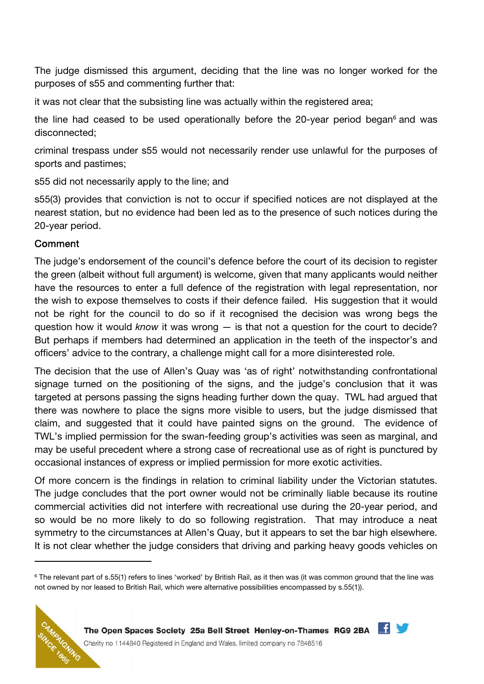The judge dismissed this argument, deciding that the line was no longer worked for the purposes of s55 and commenting further that:

it was not clear that the subsisting line was actually within the registered area;

the line had ceased to be used operationally before the 20-year period began<sup>6</sup> and was disconnected;

criminal trespass under s55 would not necessarily render use unlawful for the purposes of sports and pastimes;

s55 did not necessarily apply to the line; and

s55(3) provides that conviction is not to occur if specified notices are not displayed at the nearest station, but no evidence had been led as to the presence of such notices during the 20-year period.

## Comment

The judge's endorsement of the council's defence before the court of its decision to register the green (albeit without full argument) is welcome, given that many applicants would neither have the resources to enter a full defence of the registration with legal representation, nor the wish to expose themselves to costs if their defence failed. His suggestion that it would not be right for the council to do so if it recognised the decision was wrong begs the question how it would know it was wrong  $-$  is that not a question for the court to decide? But perhaps if members had determined an application in the teeth of the inspector's and officers' advice to the contrary, a challenge might call for a more disinterested role.

The decision that the use of Allen's Quay was 'as of right' notwithstanding confrontational signage turned on the positioning of the signs, and the judge's conclusion that it was targeted at persons passing the signs heading further down the quay. TWL had argued that there was nowhere to place the signs more visible to users, but the judge dismissed that claim, and suggested that it could have painted signs on the ground. The evidence of TWL's implied permission for the swan-feeding group's activities was seen as marginal, and may be useful precedent where a strong case of recreational use as of right is punctured by occasional instances of express or implied permission for more exotic activities.

Of more concern is the findings in relation to criminal liability under the Victorian statutes. The judge concludes that the port owner would not be criminally liable because its routine commercial activities did not interfere with recreational use during the 20-year period, and so would be no more likely to do so following registration. That may introduce a neat symmetry to the circumstances at Allen's Quay, but it appears to set the bar high elsewhere. It is not clear whether the judge considers that driving and parking heavy goods vehicles on

<sup>&</sup>lt;sup>6</sup> The relevant part of s.55(1) refers to lines 'worked' by British Rail, as it then was (it was common ground that the line was not owned by nor leased to British Rail, which were alternative possibilities encompassed by s.55(1)).